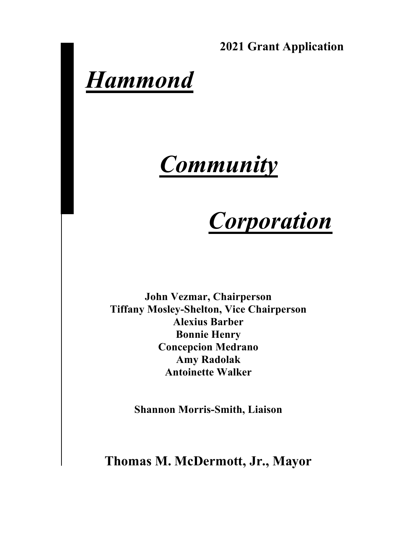**2021 Grant Application** 

# *Hammond*

# *Community*

# *Corporation*

**John Vezmar, Chairperson Tiffany Mosley-Shelton, Vice Chairperson Alexius Barber Bonnie Henry Concepcion Medrano Amy Radolak Antoinette Walker**

**Shannon Morris-Smith, Liaison** 

**Thomas M. McDermott, Jr., Mayor**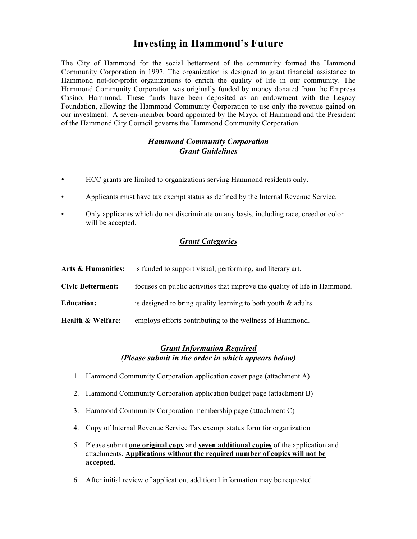### **Investing in Hammond's Future**

The City of Hammond for the social betterment of the community formed the Hammond Community Corporation in 1997. The organization is designed to grant financial assistance to Hammond not-for-profit organizations to enrich the quality of life in our community. The Hammond Community Corporation was originally funded by money donated from the Empress Casino, Hammond. These funds have been deposited as an endowment with the Legacy Foundation, allowing the Hammond Community Corporation to use only the revenue gained on our investment. A seven-member board appointed by the Mayor of Hammond and the President of the Hammond City Council governs the Hammond Community Corporation.

#### *Hammond Community Corporation Grant Guidelines*

- HCC grants are limited to organizations serving Hammond residents only.
- Applicants must have tax exempt status as defined by the Internal Revenue Service.
- Only applicants which do not discriminate on any basis, including race, creed or color will be accepted.

#### *Grant Categories*

| Arts & Humanities:       | is funded to support visual, performing, and literary art.                |
|--------------------------|---------------------------------------------------------------------------|
| <b>Civic Betterment:</b> | focuses on public activities that improve the quality of life in Hammond. |
| <b>Education:</b>        | is designed to bring quality learning to both youth $\&$ adults.          |
| Health & Welfare:        | employs efforts contributing to the wellness of Hammond.                  |

#### *Grant Information Required (Please submit in the order in which appears below)*

- 1. Hammond Community Corporation application cover page (attachment A)
- 2. Hammond Community Corporation application budget page (attachment B)
- 3. Hammond Community Corporation membership page (attachment C)
- 4. Copy of Internal Revenue Service Tax exempt status form for organization
- 5. Please submit **one original copy** and **seven additional copies** of the application and attachments. **Applications without the required number of copies will not be accepted.**
- 6. After initial review of application, additional information may be requested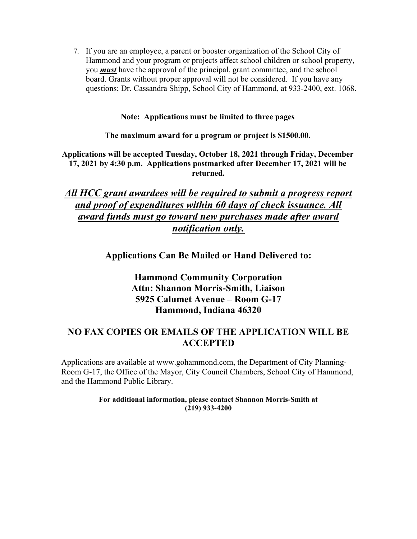7. If you are an employee, a parent or booster organization of the School City of Hammond and your program or projects affect school children or school property, you *must* have the approval of the principal, grant committee, and the school board. Grants without proper approval will not be considered. If you have any questions; Dr. Cassandra Shipp, School City of Hammond, at 933-2400, ext. 1068.

**Note: Applications must be limited to three pages** 

**The maximum award for a program or project is \$1500.00.** 

**Applications will be accepted Tuesday, October 18, 2021 through Friday, December 17, 2021 by 4:30 p.m. Applications postmarked after December 17, 2021 will be returned.** 

### *All HCC grant awardees will be required to submit a progress report and proof of expenditures within 60 days of check issuance. All award funds must go toward new purchases made after award notification only.*

**Applications Can Be Mailed or Hand Delivered to:**

### **Hammond Community Corporation Attn: Shannon Morris-Smith, Liaison 5925 Calumet Avenue – Room G-17 Hammond, Indiana 46320**

#### **NO FAX COPIES OR EMAILS OF THE APPLICATION WILL BE ACCEPTED**

Applications are available at www.gohammond.com, the Department of City Planning-Room G-17, the Office of the Mayor, City Council Chambers, School City of Hammond, and the Hammond Public Library.

> **For additional information, please contact Shannon Morris-Smith at (219) 933-4200**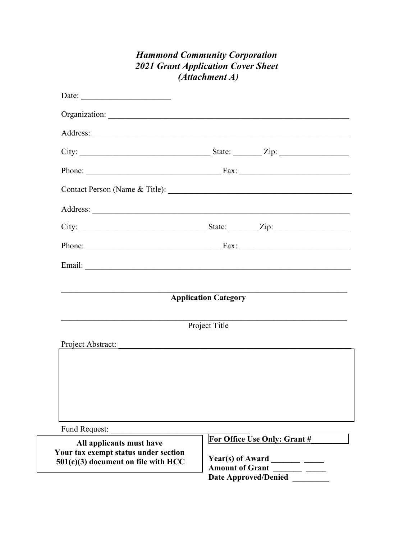## **Hammond Community Corporation 2021 Grant Application Cover Sheet**  $(Attachment A)$ Date: Organization: Phone: Fax: Phone:  $\overline{\phantom{a}}$  Fax:  $\overline{\phantom{a}}$ Email: The contract of the contract of the contract of the contract of the contract of the contract of the contract of the contract of the contract of the contract of the contract of the contract of the contract of the con **Application Category** Project Title Project Abstract: Fund Request: For Office Use Only: Grant # All applicants must have Your tax exempt status under section **Year(s) of Award**  $501(c)(3)$  document on file with HCC

**Amount of Grant Date Approved/Denied**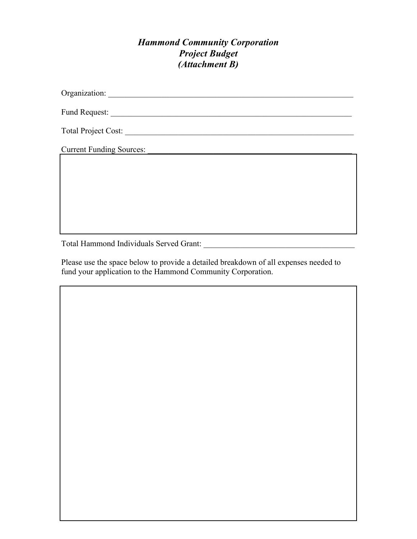#### *Hammond Community Corporation Project Budget (Attachment B)*

Organization: \_\_\_\_\_\_\_\_\_\_\_\_\_\_\_\_\_\_\_\_\_\_\_\_\_\_\_\_\_\_\_\_\_\_\_\_\_\_\_\_\_\_\_\_\_\_\_\_\_\_\_\_\_\_\_\_\_\_\_\_

Fund Request: \_\_\_\_\_\_\_\_\_\_\_\_\_\_\_\_\_\_\_\_\_\_\_\_\_\_\_\_\_\_\_\_\_\_\_\_\_\_\_\_\_\_\_\_\_\_\_\_\_\_\_\_\_\_\_\_\_\_\_

Total Project Cost: \_\_\_\_\_\_\_\_\_\_\_\_\_\_\_\_\_\_\_\_\_\_\_\_\_\_\_\_\_\_\_\_\_\_\_\_\_\_\_\_\_\_\_\_\_\_\_\_\_\_\_\_\_\_\_\_

Current Funding Sources:

Total Hammond Individuals Served Grant: \_\_\_\_\_\_\_\_\_\_\_\_\_\_\_\_\_\_\_\_\_\_\_\_\_\_\_\_\_\_\_\_\_\_\_\_\_

Please use the space below to provide a detailed breakdown of all expenses needed to fund your application to the Hammond Community Corporation.